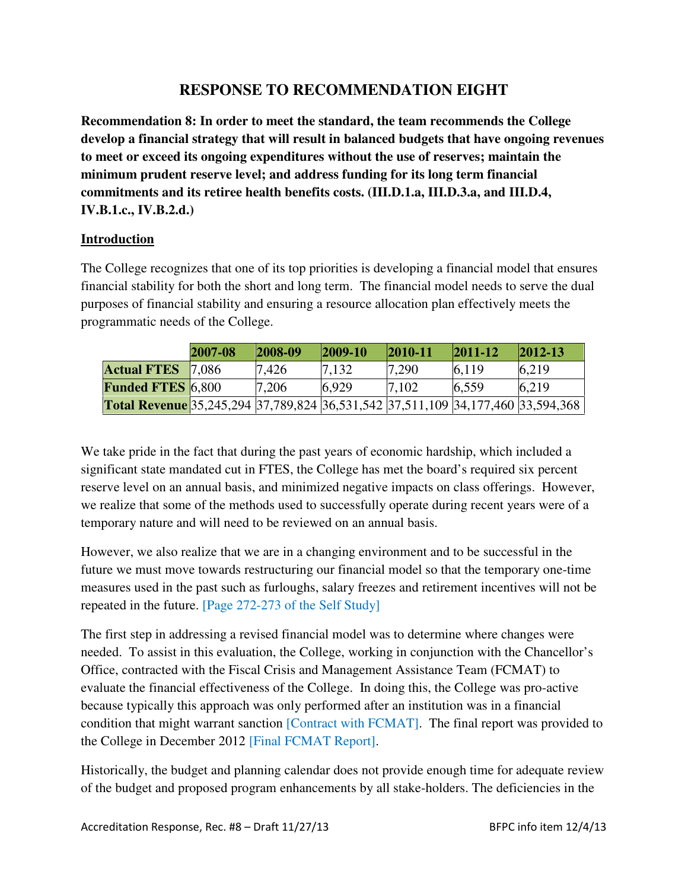# **RESPONSE TO RECOMMENDATION EIGHT**

**Recommendation 8: In order to meet the standard, the team recommends the College develop a financial strategy that will result in balanced budgets that have ongoing revenues to meet or exceed its ongoing expenditures without the use of reserves; maintain the minimum prudent reserve level; and address funding for its long term financial commitments and its retiree health benefits costs. (III.D.1.a, III.D.3.a, and III.D.4, IV.B.1.c., IV.B.2.d.)** 

### **Introduction**

The College recognizes that one of its top priorities is developing a financial model that ensures financial stability for both the short and long term. The financial model needs to serve the dual purposes of financial stability and ensuring a resource allocation plan effectively meets the programmatic needs of the College.

|                                                                                        | 2007-08 | $ 2008-09 $ | $ 2009-10 $ | $ 2010-11$ | $ 2011-12$ | $ 2012-13 $ |
|----------------------------------------------------------------------------------------|---------|-------------|-------------|------------|------------|-------------|
| <b>Actual FTES</b>                                                                     | 17.086  | 7,426       | 7.132       | 7,290      | 6.119      | 6.219       |
| <b>Funded FTES 6,800</b>                                                               |         | 7.206       | 6.929       | 7.102      | 6,559      | 6,219       |
| <b>Total Revenue</b> 35,245,294 37,789,824 36,531,542 37,511,109 34,177,460 33,594,368 |         |             |             |            |            |             |

We take pride in the fact that during the past years of economic hardship, which included a significant state mandated cut in FTES, the College has met the board's required six percent reserve level on an annual basis, and minimized negative impacts on class offerings. However, we realize that some of the methods used to successfully operate during recent years were of a temporary nature and will need to be reviewed on an annual basis.

However, we also realize that we are in a changing environment and to be successful in the future we must move towards restructuring our financial model so that the temporary one-time measures used in the past such as furloughs, salary freezes and retirement incentives will not be repeated in the future. [Page 272-273 of the Self Study]

The first step in addressing a revised financial model was to determine where changes were needed. To assist in this evaluation, the College, working in conjunction with the Chancellor's Office, contracted with the Fiscal Crisis and Management Assistance Team (FCMAT) to evaluate the financial effectiveness of the College. In doing this, the College was pro-active because typically this approach was only performed after an institution was in a financial condition that might warrant sanction [Contract with FCMAT]. The final report was provided to the College in December 2012 [Final FCMAT Report].

Historically, the budget and planning calendar does not provide enough time for adequate review of the budget and proposed program enhancements by all stake-holders. The deficiencies in the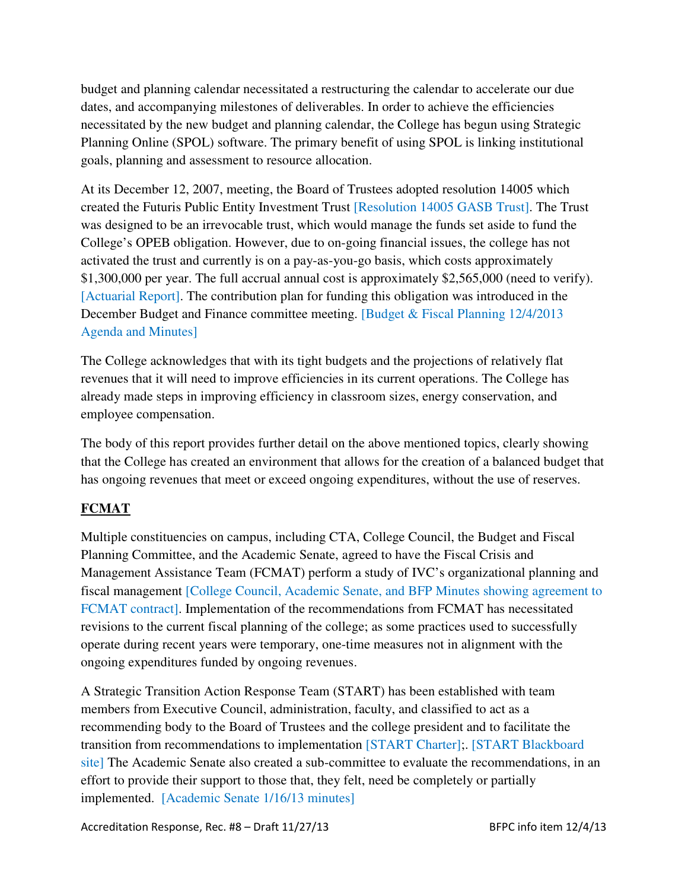budget and planning calendar necessitated a restructuring the calendar to accelerate our due dates, and accompanying milestones of deliverables. In order to achieve the efficiencies necessitated by the new budget and planning calendar, the College has begun using Strategic Planning Online (SPOL) software. The primary benefit of using SPOL is linking institutional goals, planning and assessment to resource allocation.

At its December 12, 2007, meeting, the Board of Trustees adopted resolution 14005 which created the Futuris Public Entity Investment Trust [Resolution 14005 GASB Trust]. The Trust was designed to be an irrevocable trust, which would manage the funds set aside to fund the College's OPEB obligation. However, due to on-going financial issues, the college has not activated the trust and currently is on a pay-as-you-go basis, which costs approximately \$1,300,000 per year. The full accrual annual cost is approximately \$2,565,000 (need to verify). [Actuarial Report]. The contribution plan for funding this obligation was introduced in the December Budget and Finance committee meeting. [Budget & Fiscal Planning 12/4/2013 Agenda and Minutes]

The College acknowledges that with its tight budgets and the projections of relatively flat revenues that it will need to improve efficiencies in its current operations. The College has already made steps in improving efficiency in classroom sizes, energy conservation, and employee compensation.

The body of this report provides further detail on the above mentioned topics, clearly showing that the College has created an environment that allows for the creation of a balanced budget that has ongoing revenues that meet or exceed ongoing expenditures, without the use of reserves.

# **FCMAT**

Multiple constituencies on campus, including CTA, College Council, the Budget and Fiscal Planning Committee, and the Academic Senate, agreed to have the Fiscal Crisis and Management Assistance Team (FCMAT) perform a study of IVC's organizational planning and fiscal management [College Council, Academic Senate, and BFP Minutes showing agreement to FCMAT contract]. Implementation of the recommendations from FCMAT has necessitated revisions to the current fiscal planning of the college; as some practices used to successfully operate during recent years were temporary, one-time measures not in alignment with the ongoing expenditures funded by ongoing revenues.

A Strategic Transition Action Response Team (START) has been established with team members from Executive Council, administration, faculty, and classified to act as a recommending body to the Board of Trustees and the college president and to facilitate the transition from recommendations to implementation [START Charter];. [START Blackboard site] The Academic Senate also created a sub-committee to evaluate the recommendations, in an effort to provide their support to those that, they felt, need be completely or partially implemented. [Academic Senate 1/16/13 minutes]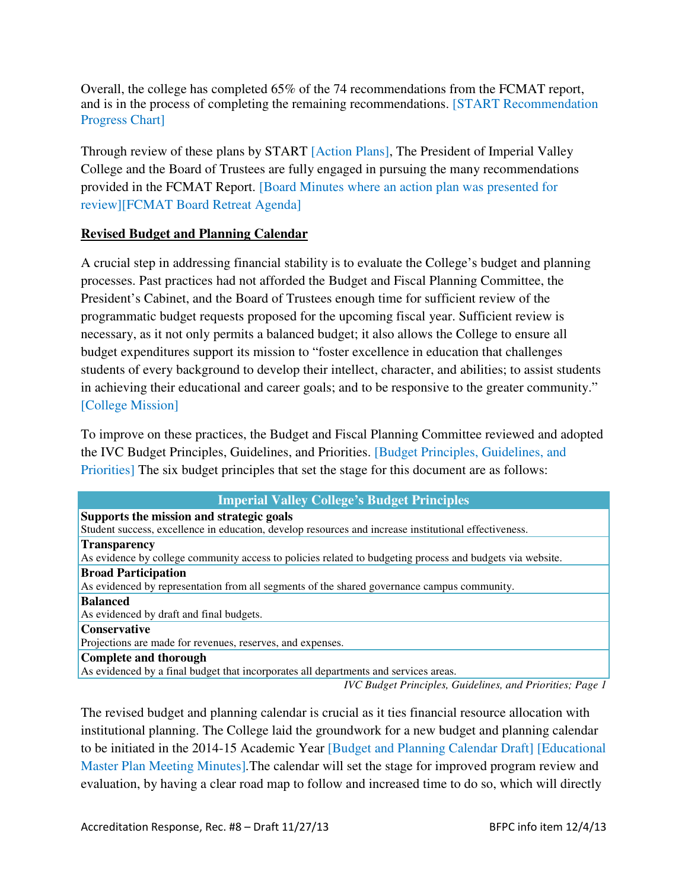Overall, the college has completed 65% of the 74 recommendations from the FCMAT report, and is in the process of completing the remaining recommendations. [START Recommendation Progress Chart]

Through review of these plans by START [Action Plans], The President of Imperial Valley College and the Board of Trustees are fully engaged in pursuing the many recommendations provided in the FCMAT Report. [Board Minutes where an action plan was presented for review][FCMAT Board Retreat Agenda]

### **Revised Budget and Planning Calendar**

A crucial step in addressing financial stability is to evaluate the College's budget and planning processes. Past practices had not afforded the Budget and Fiscal Planning Committee, the President's Cabinet, and the Board of Trustees enough time for sufficient review of the programmatic budget requests proposed for the upcoming fiscal year. Sufficient review is necessary, as it not only permits a balanced budget; it also allows the College to ensure all budget expenditures support its mission to "foster excellence in education that challenges students of every background to develop their intellect, character, and abilities; to assist students in achieving their educational and career goals; and to be responsive to the greater community." [College Mission]

To improve on these practices, the Budget and Fiscal Planning Committee reviewed and adopted the IVC Budget Principles, Guidelines, and Priorities. [Budget Principles, Guidelines, and Priorities] The six budget principles that set the stage for this document are as follows:

| <b>Imperial Valley College's Budget Principles</b>                                                        |  |  |  |  |
|-----------------------------------------------------------------------------------------------------------|--|--|--|--|
| Supports the mission and strategic goals                                                                  |  |  |  |  |
| Student success, excellence in education, develop resources and increase institutional effectiveness.     |  |  |  |  |
| <b>Transparency</b>                                                                                       |  |  |  |  |
| As evidence by college community access to policies related to budgeting process and budgets via website. |  |  |  |  |
| <b>Broad Participation</b>                                                                                |  |  |  |  |
| As evidenced by representation from all segments of the shared governance campus community.               |  |  |  |  |
| <b>Balanced</b>                                                                                           |  |  |  |  |
| As evidenced by draft and final budgets.                                                                  |  |  |  |  |
| <b>Conservative</b>                                                                                       |  |  |  |  |
| Projections are made for revenues, reserves, and expenses.                                                |  |  |  |  |
| Complete and thorough                                                                                     |  |  |  |  |
| As evidenced by a final budget that incorporates all departments and services areas.                      |  |  |  |  |
| .                                                                                                         |  |  |  |  |

*IVC Budget Principles, Guidelines, and Priorities; Page 1*

The revised budget and planning calendar is crucial as it ties financial resource allocation with institutional planning. The College laid the groundwork for a new budget and planning calendar to be initiated in the 2014-15 Academic Year [Budget and Planning Calendar Draft] [Educational Master Plan Meeting Minutes]*.*The calendar will set the stage for improved program review and evaluation, by having a clear road map to follow and increased time to do so, which will directly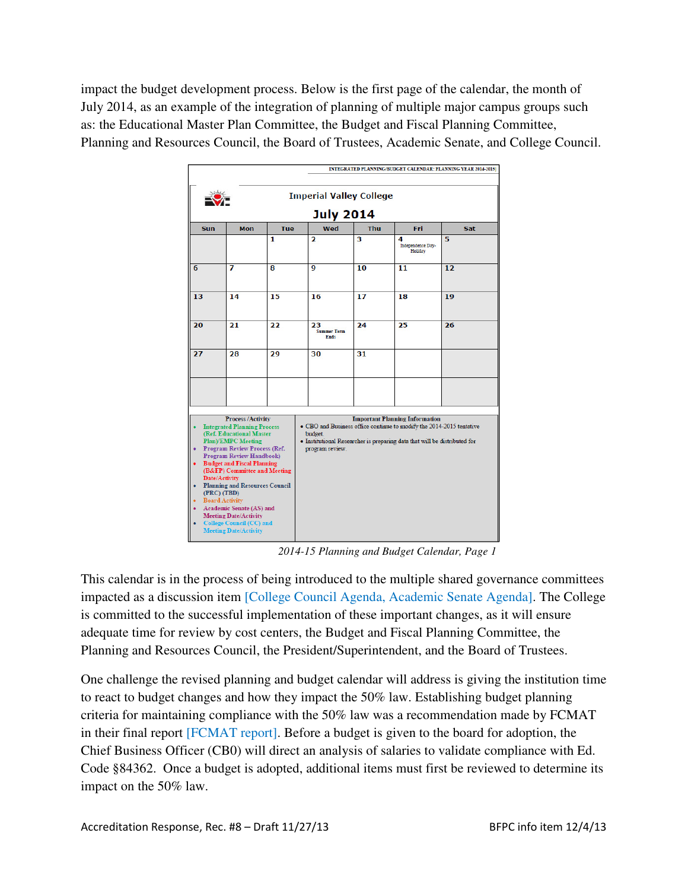impact the budget development process. Below is the first page of the calendar, the month of July 2014, as an example of the integration of planning of multiple major campus groups such as: the Educational Master Plan Committee, the Budget and Fiscal Planning Committee, Planning and Resources Council, the Board of Trustees, Academic Senate, and College Council.



 *2014-15 Planning and Budget Calendar, Page 1*

This calendar is in the process of being introduced to the multiple shared governance committees impacted as a discussion item [College Council Agenda, Academic Senate Agenda]. The College is committed to the successful implementation of these important changes, as it will ensure adequate time for review by cost centers, the Budget and Fiscal Planning Committee, the Planning and Resources Council, the President/Superintendent, and the Board of Trustees.

One challenge the revised planning and budget calendar will address is giving the institution time to react to budget changes and how they impact the 50% law. Establishing budget planning criteria for maintaining compliance with the 50% law was a recommendation made by FCMAT in their final report [FCMAT report]. Before a budget is given to the board for adoption, the Chief Business Officer (CB0) will direct an analysis of salaries to validate compliance with Ed. Code §84362. Once a budget is adopted, additional items must first be reviewed to determine its impact on the 50% law.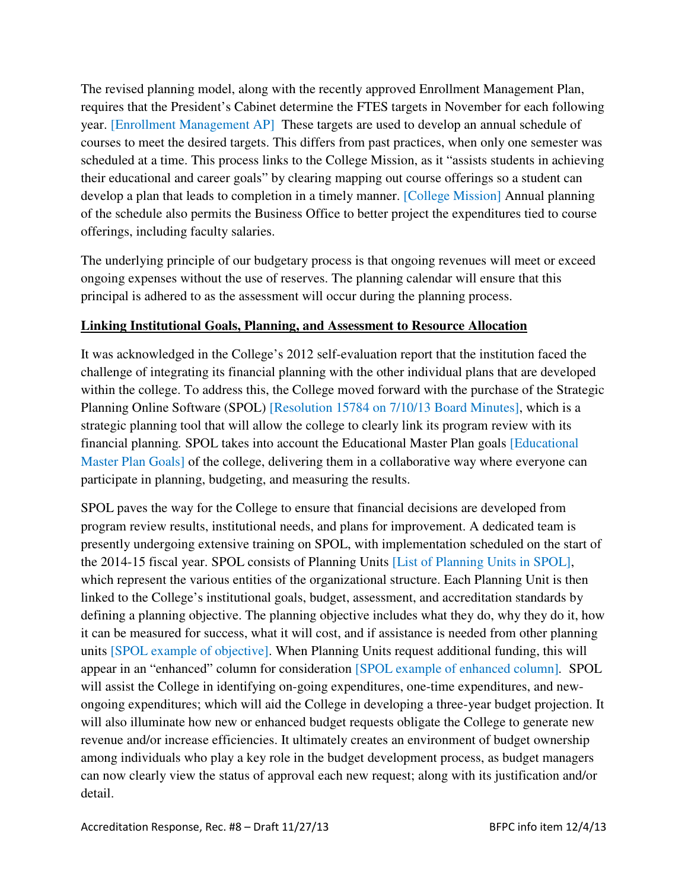The revised planning model, along with the recently approved Enrollment Management Plan, requires that the President's Cabinet determine the FTES targets in November for each following year. [Enrollment Management AP] These targets are used to develop an annual schedule of courses to meet the desired targets. This differs from past practices, when only one semester was scheduled at a time. This process links to the College Mission, as it "assists students in achieving their educational and career goals" by clearing mapping out course offerings so a student can develop a plan that leads to completion in a timely manner. [College Mission] Annual planning of the schedule also permits the Business Office to better project the expenditures tied to course offerings, including faculty salaries.

The underlying principle of our budgetary process is that ongoing revenues will meet or exceed ongoing expenses without the use of reserves. The planning calendar will ensure that this principal is adhered to as the assessment will occur during the planning process.

### **Linking Institutional Goals, Planning, and Assessment to Resource Allocation**

It was acknowledged in the College's 2012 self-evaluation report that the institution faced the challenge of integrating its financial planning with the other individual plans that are developed within the college. To address this, the College moved forward with the purchase of the Strategic Planning Online Software (SPOL) [Resolution 15784 on 7/10/13 Board Minutes], which is a strategic planning tool that will allow the college to clearly link its program review with its financial planning*.* SPOL takes into account the Educational Master Plan goals [Educational Master Plan Goals] of the college, delivering them in a collaborative way where everyone can participate in planning, budgeting, and measuring the results.

SPOL paves the way for the College to ensure that financial decisions are developed from program review results, institutional needs, and plans for improvement. A dedicated team is presently undergoing extensive training on SPOL, with implementation scheduled on the start of the 2014-15 fiscal year. SPOL consists of Planning Units [List of Planning Units in SPOL], which represent the various entities of the organizational structure. Each Planning Unit is then linked to the College's institutional goals, budget, assessment, and accreditation standards by defining a planning objective. The planning objective includes what they do, why they do it, how it can be measured for success, what it will cost, and if assistance is needed from other planning units [SPOL example of objective]. When Planning Units request additional funding, this will appear in an "enhanced" column for consideration [SPOL example of enhanced column]*.* SPOL will assist the College in identifying on-going expenditures, one-time expenditures, and newongoing expenditures; which will aid the College in developing a three-year budget projection. It will also illuminate how new or enhanced budget requests obligate the College to generate new revenue and/or increase efficiencies. It ultimately creates an environment of budget ownership among individuals who play a key role in the budget development process, as budget managers can now clearly view the status of approval each new request; along with its justification and/or detail.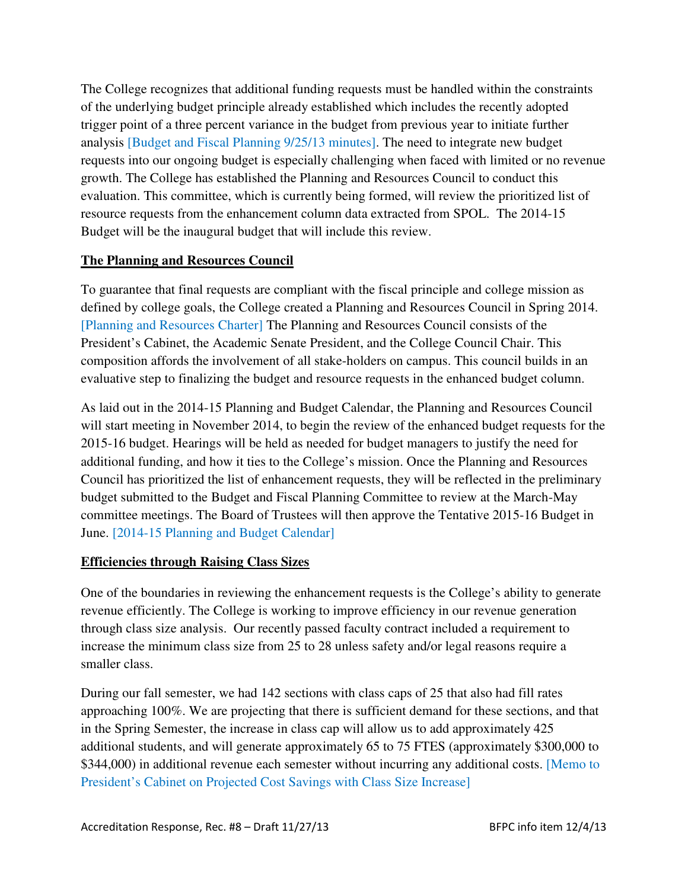The College recognizes that additional funding requests must be handled within the constraints of the underlying budget principle already established which includes the recently adopted trigger point of a three percent variance in the budget from previous year to initiate further analysis [Budget and Fiscal Planning 9/25/13 minutes]. The need to integrate new budget requests into our ongoing budget is especially challenging when faced with limited or no revenue growth. The College has established the Planning and Resources Council to conduct this evaluation. This committee, which is currently being formed, will review the prioritized list of resource requests from the enhancement column data extracted from SPOL. The 2014-15 Budget will be the inaugural budget that will include this review.

### **The Planning and Resources Council**

To guarantee that final requests are compliant with the fiscal principle and college mission as defined by college goals, the College created a Planning and Resources Council in Spring 2014. [Planning and Resources Charter] The Planning and Resources Council consists of the President's Cabinet, the Academic Senate President, and the College Council Chair. This composition affords the involvement of all stake-holders on campus. This council builds in an evaluative step to finalizing the budget and resource requests in the enhanced budget column.

As laid out in the 2014-15 Planning and Budget Calendar, the Planning and Resources Council will start meeting in November 2014, to begin the review of the enhanced budget requests for the 2015-16 budget. Hearings will be held as needed for budget managers to justify the need for additional funding, and how it ties to the College's mission. Once the Planning and Resources Council has prioritized the list of enhancement requests, they will be reflected in the preliminary budget submitted to the Budget and Fiscal Planning Committee to review at the March-May committee meetings. The Board of Trustees will then approve the Tentative 2015-16 Budget in June. [2014-15 Planning and Budget Calendar]

### **Efficiencies through Raising Class Sizes**

One of the boundaries in reviewing the enhancement requests is the College's ability to generate revenue efficiently. The College is working to improve efficiency in our revenue generation through class size analysis. Our recently passed faculty contract included a requirement to increase the minimum class size from 25 to 28 unless safety and/or legal reasons require a smaller class.

During our fall semester, we had 142 sections with class caps of 25 that also had fill rates approaching 100%. We are projecting that there is sufficient demand for these sections, and that in the Spring Semester, the increase in class cap will allow us to add approximately 425 additional students, and will generate approximately 65 to 75 FTES (approximately \$300,000 to \$344,000) in additional revenue each semester without incurring any additional costs. [Memo to President's Cabinet on Projected Cost Savings with Class Size Increase]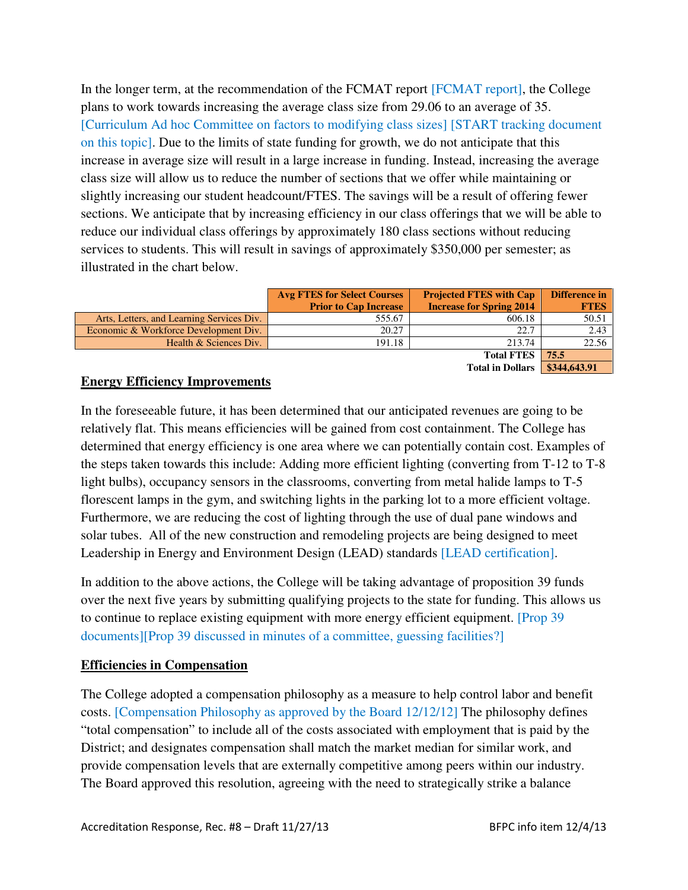In the longer term, at the recommendation of the FCMAT report [FCMAT report], the College plans to work towards increasing the average class size from 29.06 to an average of 35. [Curriculum Ad hoc Committee on factors to modifying class sizes] [START tracking document on this topic]. Due to the limits of state funding for growth, we do not anticipate that this increase in average size will result in a large increase in funding. Instead, increasing the average class size will allow us to reduce the number of sections that we offer while maintaining or slightly increasing our student headcount/FTES. The savings will be a result of offering fewer sections. We anticipate that by increasing efficiency in our class offerings that we will be able to reduce our individual class offerings by approximately 180 class sections without reducing services to students. This will result in savings of approximately \$350,000 per semester; as illustrated in the chart below.

|                                           | <b>Avg FTES for Select Courses</b><br><b>Prior to Cap Increase</b> | <b>Projected FTES with Cap</b><br><b>Increase for Spring 2014</b> | Difference in<br><b>FTES</b> |
|-------------------------------------------|--------------------------------------------------------------------|-------------------------------------------------------------------|------------------------------|
| Arts, Letters, and Learning Services Div. | 555.67                                                             | 606.18                                                            | 50.51                        |
| Economic & Workforce Development Div.     | 20.27                                                              | 22.7                                                              | 2.43                         |
| Health & Sciences Div.                    | 191.18                                                             | 213.74                                                            | 22.56                        |
|                                           |                                                                    | <b>Total FTES</b>                                                 | 75.5                         |

#### **Total in Dollars** | \$344,643.91

### **Energy Efficiency Improvements**

In the foreseeable future, it has been determined that our anticipated revenues are going to be relatively flat. This means efficiencies will be gained from cost containment. The College has determined that energy efficiency is one area where we can potentially contain cost. Examples of the steps taken towards this include: Adding more efficient lighting (converting from T-12 to T-8 light bulbs), occupancy sensors in the classrooms, converting from metal halide lamps to T-5 florescent lamps in the gym, and switching lights in the parking lot to a more efficient voltage. Furthermore, we are reducing the cost of lighting through the use of dual pane windows and solar tubes. All of the new construction and remodeling projects are being designed to meet Leadership in Energy and Environment Design (LEAD) standards [LEAD certification].

In addition to the above actions, the College will be taking advantage of proposition 39 funds over the next five years by submitting qualifying projects to the state for funding. This allows us to continue to replace existing equipment with more energy efficient equipment. [Prop 39 documents][Prop 39 discussed in minutes of a committee, guessing facilities?]

### **Efficiencies in Compensation**

The College adopted a compensation philosophy as a measure to help control labor and benefit costs. [Compensation Philosophy as approved by the Board 12/12/12] The philosophy defines "total compensation" to include all of the costs associated with employment that is paid by the District; and designates compensation shall match the market median for similar work, and provide compensation levels that are externally competitive among peers within our industry. The Board approved this resolution, agreeing with the need to strategically strike a balance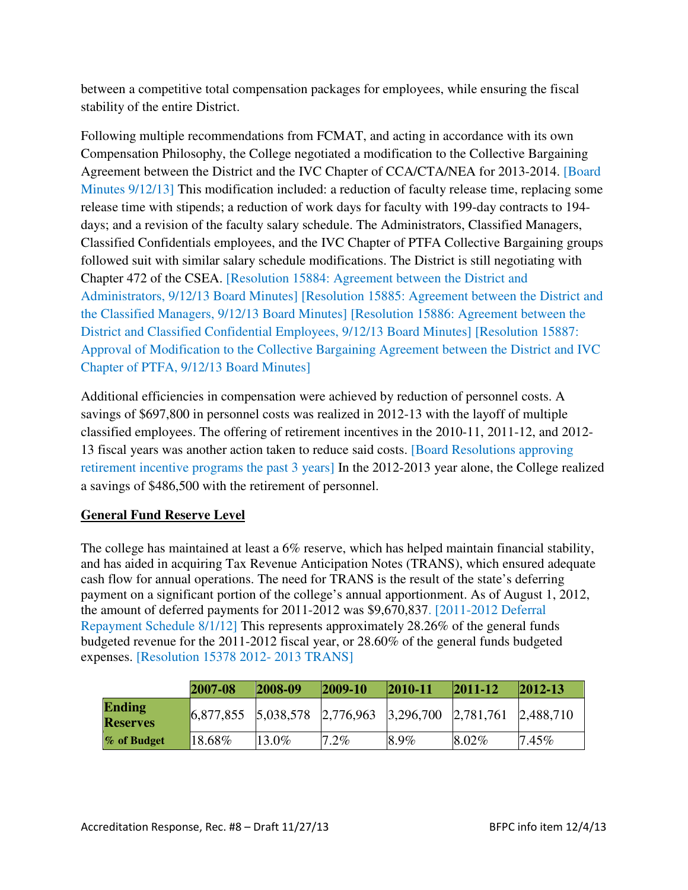between a competitive total compensation packages for employees, while ensuring the fiscal stability of the entire District.

Following multiple recommendations from FCMAT, and acting in accordance with its own Compensation Philosophy, the College negotiated a modification to the Collective Bargaining Agreement between the District and the IVC Chapter of CCA/CTA/NEA for 2013-2014. [Board Minutes 9/12/13] This modification included: a reduction of faculty release time, replacing some release time with stipends; a reduction of work days for faculty with 199-day contracts to 194 days; and a revision of the faculty salary schedule. The Administrators, Classified Managers, Classified Confidentials employees, and the IVC Chapter of PTFA Collective Bargaining groups followed suit with similar salary schedule modifications. The District is still negotiating with Chapter 472 of the CSEA. [Resolution 15884: Agreement between the District and Administrators, 9/12/13 Board Minutes] [Resolution 15885: Agreement between the District and the Classified Managers, 9/12/13 Board Minutes] [Resolution 15886: Agreement between the District and Classified Confidential Employees, 9/12/13 Board Minutes] [Resolution 15887: Approval of Modification to the Collective Bargaining Agreement between the District and IVC Chapter of PTFA, 9/12/13 Board Minutes]

Additional efficiencies in compensation were achieved by reduction of personnel costs. A savings of \$697,800 in personnel costs was realized in 2012-13 with the layoff of multiple classified employees. The offering of retirement incentives in the 2010-11, 2011-12, and 2012- 13 fiscal years was another action taken to reduce said costs. [Board Resolutions approving retirement incentive programs the past 3 years] In the 2012-2013 year alone, the College realized a savings of \$486,500 with the retirement of personnel.

### **General Fund Reserve Level**

The college has maintained at least a 6% reserve, which has helped maintain financial stability, and has aided in acquiring Tax Revenue Anticipation Notes (TRANS), which ensured adequate cash flow for annual operations. The need for TRANS is the result of the state's deferring payment on a significant portion of the college's annual apportionment. As of August 1, 2012, the amount of deferred payments for 2011-2012 was \$9,670,837. [2011-2012 Deferral Repayment Schedule 8/1/12] This represents approximately 28.26% of the general funds budgeted revenue for the 2011-2012 fiscal year, or 28.60% of the general funds budgeted expenses. [Resolution 15378 2012- 2013 TRANS]

|                                  | 2007-08                                                                 | $ 2008-09 $ | $ 2009-10 $ | $ 2010 - 11$ | $ 2011-12$ | $ 2012-13$ |
|----------------------------------|-------------------------------------------------------------------------|-------------|-------------|--------------|------------|------------|
| <b>Ending</b><br><b>Reserves</b> | $\begin{array}{ l} 6,877,855 \end{array}$ 5,038,578 2,776,963 3,296,700 |             |             |              | 2,781,761  | 2,488,710  |
| % of Budget                      | $18.68\%$                                                               | $13.0\%$    | $7.2\%$     | 8.9%         | $8.02\%$   | $7.45\%$   |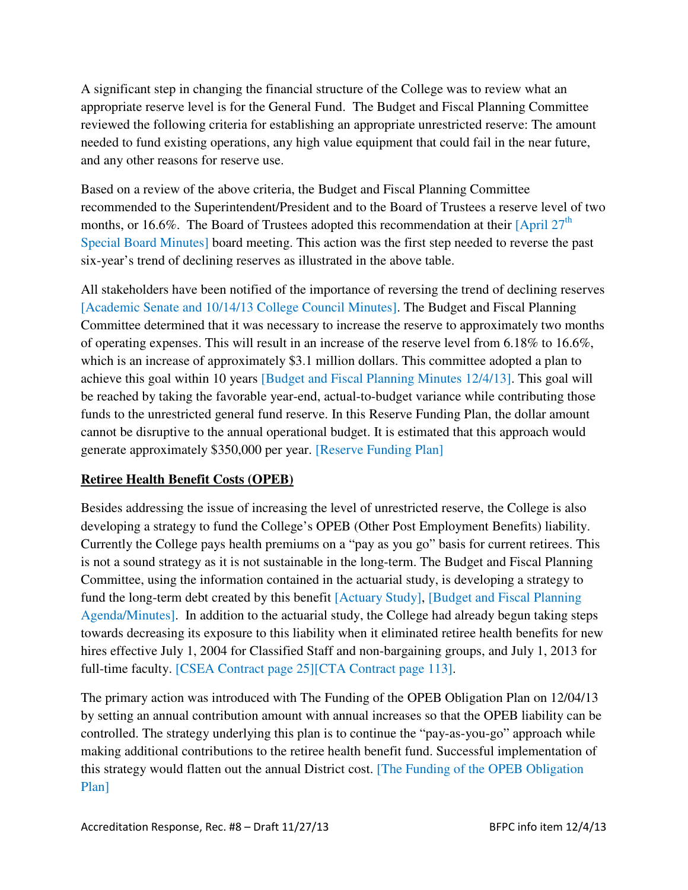A significant step in changing the financial structure of the College was to review what an appropriate reserve level is for the General Fund. The Budget and Fiscal Planning Committee reviewed the following criteria for establishing an appropriate unrestricted reserve: The amount needed to fund existing operations, any high value equipment that could fail in the near future, and any other reasons for reserve use.

Based on a review of the above criteria, the Budget and Fiscal Planning Committee recommended to the Superintendent/President and to the Board of Trustees a reserve level of two months, or 16.6%. The Board of Trustees adopted this recommendation at their  $[April 27<sup>th</sup>]$ Special Board Minutes] board meeting. This action was the first step needed to reverse the past six-year's trend of declining reserves as illustrated in the above table.

All stakeholders have been notified of the importance of reversing the trend of declining reserves [Academic Senate and 10/14/13 College Council Minutes]. The Budget and Fiscal Planning Committee determined that it was necessary to increase the reserve to approximately two months of operating expenses. This will result in an increase of the reserve level from 6.18% to 16.6%, which is an increase of approximately \$3.1 million dollars. This committee adopted a plan to achieve this goal within 10 years [Budget and Fiscal Planning Minutes 12/4/13]. This goal will be reached by taking the favorable year-end, actual-to-budget variance while contributing those funds to the unrestricted general fund reserve. In this Reserve Funding Plan, the dollar amount cannot be disruptive to the annual operational budget. It is estimated that this approach would generate approximately \$350,000 per year. [Reserve Funding Plan]

# **Retiree Health Benefit Costs (OPEB)**

Besides addressing the issue of increasing the level of unrestricted reserve, the College is also developing a strategy to fund the College's OPEB (Other Post Employment Benefits) liability. Currently the College pays health premiums on a "pay as you go" basis for current retirees. This is not a sound strategy as it is not sustainable in the long-term. The Budget and Fiscal Planning Committee, using the information contained in the actuarial study, is developing a strategy to fund the long-term debt created by this benefit [Actuary Study], [Budget and Fiscal Planning Agenda/Minutes]. In addition to the actuarial study, the College had already begun taking steps towards decreasing its exposure to this liability when it eliminated retiree health benefits for new hires effective July 1, 2004 for Classified Staff and non-bargaining groups, and July 1, 2013 for full-time faculty. [CSEA Contract page 25][CTA Contract page 113].

The primary action was introduced with The Funding of the OPEB Obligation Plan on 12/04/13 by setting an annual contribution amount with annual increases so that the OPEB liability can be controlled. The strategy underlying this plan is to continue the "pay-as-you-go" approach while making additional contributions to the retiree health benefit fund. Successful implementation of this strategy would flatten out the annual District cost. [The Funding of the OPEB Obligation Plan]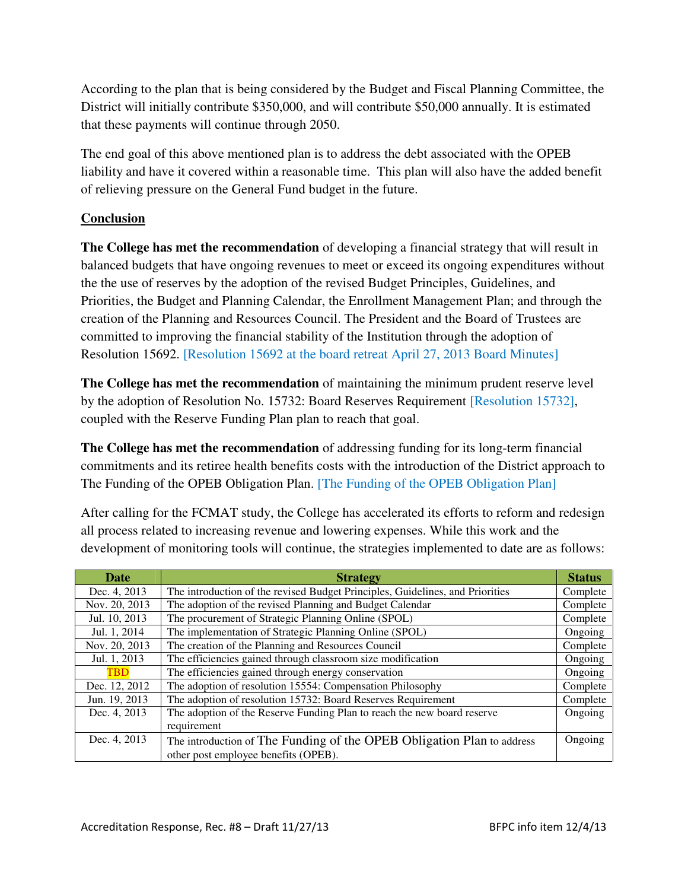According to the plan that is being considered by the Budget and Fiscal Planning Committee, the District will initially contribute \$350,000, and will contribute \$50,000 annually. It is estimated that these payments will continue through 2050.

The end goal of this above mentioned plan is to address the debt associated with the OPEB liability and have it covered within a reasonable time. This plan will also have the added benefit of relieving pressure on the General Fund budget in the future.

### **Conclusion**

**The College has met the recommendation** of developing a financial strategy that will result in balanced budgets that have ongoing revenues to meet or exceed its ongoing expenditures without the the use of reserves by the adoption of the revised Budget Principles, Guidelines, and Priorities, the Budget and Planning Calendar, the Enrollment Management Plan; and through the creation of the Planning and Resources Council. The President and the Board of Trustees are committed to improving the financial stability of the Institution through the adoption of Resolution 15692. [Resolution 15692 at the board retreat April 27, 2013 Board Minutes]

**The College has met the recommendation** of maintaining the minimum prudent reserve level by the adoption of Resolution No. 15732: Board Reserves Requirement [Resolution 15732], coupled with the Reserve Funding Plan plan to reach that goal.

**The College has met the recommendation** of addressing funding for its long-term financial commitments and its retiree health benefits costs with the introduction of the District approach to The Funding of the OPEB Obligation Plan. [The Funding of the OPEB Obligation Plan]

After calling for the FCMAT study, the College has accelerated its efforts to reform and redesign all process related to increasing revenue and lowering expenses. While this work and the development of monitoring tools will continue, the strategies implemented to date are as follows:

| Date          | <b>Strategy</b>                                                               | <b>Status</b> |
|---------------|-------------------------------------------------------------------------------|---------------|
| Dec. 4, 2013  | The introduction of the revised Budget Principles, Guidelines, and Priorities | Complete      |
| Nov. 20, 2013 | The adoption of the revised Planning and Budget Calendar                      | Complete      |
| Jul. 10, 2013 | The procurement of Strategic Planning Online (SPOL)                           | Complete      |
| Jul. 1, 2014  | The implementation of Strategic Planning Online (SPOL)                        | Ongoing       |
| Nov. 20, 2013 | The creation of the Planning and Resources Council                            | Complete      |
| Jul. 1, 2013  | The efficiencies gained through classroom size modification                   | Ongoing       |
| <b>TBD</b>    | The efficiencies gained through energy conservation                           | Ongoing       |
| Dec. 12, 2012 | The adoption of resolution 15554: Compensation Philosophy                     | Complete      |
| Jun. 19, 2013 | The adoption of resolution 15732: Board Reserves Requirement                  | Complete      |
| Dec. 4, 2013  | The adoption of the Reserve Funding Plan to reach the new board reserve       | Ongoing       |
|               | requirement                                                                   |               |
| Dec. 4, 2013  | The introduction of The Funding of the OPEB Obligation Plan to address        | Ongoing       |
|               | other post employee benefits (OPEB).                                          |               |